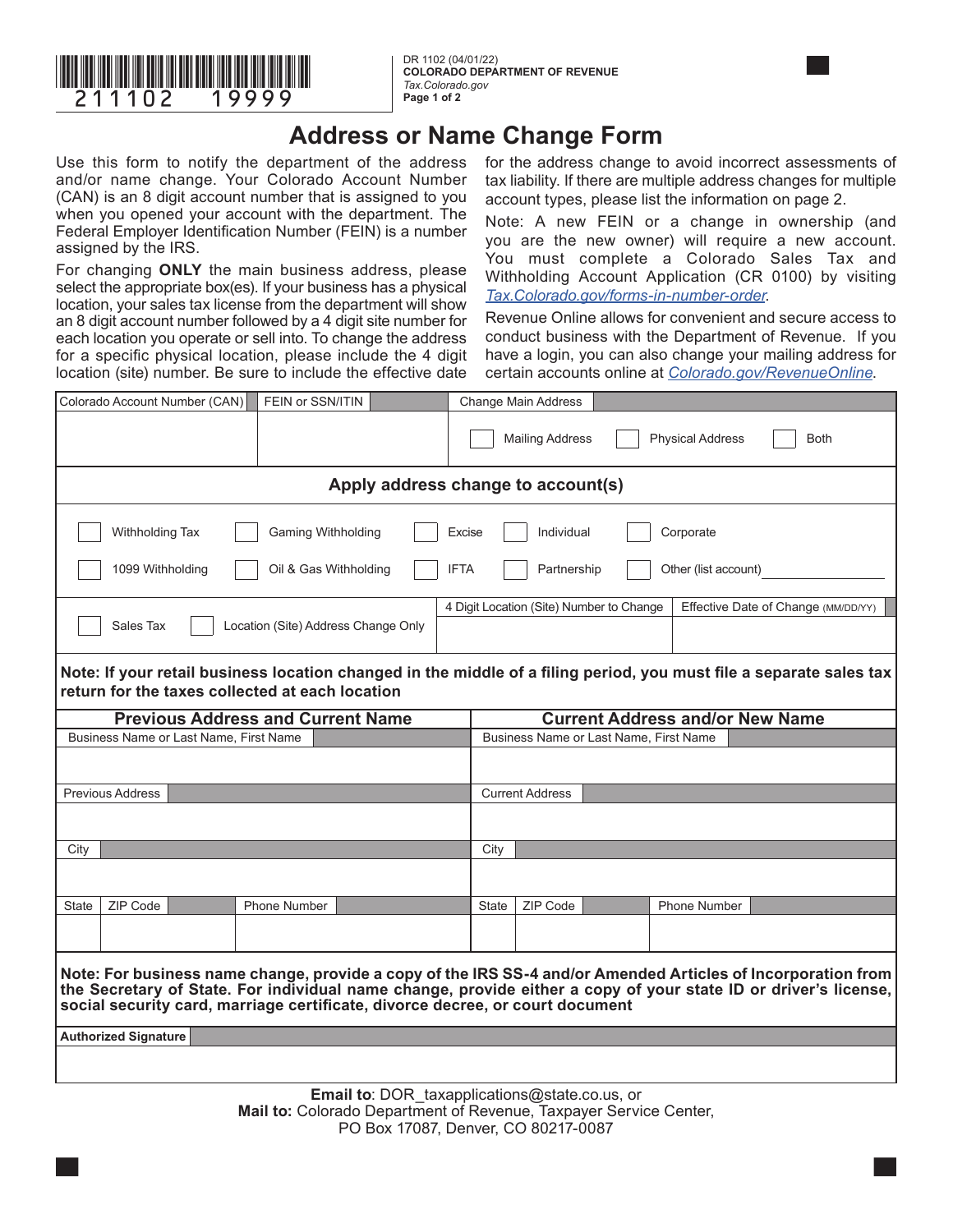

**COLORADO DEPARTMENT OF REVENUE** *Tax.Colorado.gov*  **Page 1 of 2**

## **Address or Name Change Form**

Use this form to notify the department of the address and/or name change. Your Colorado Account Number (CAN) is an 8 digit account number that is assigned to you when you opened your account with the department. The Federal Employer Identification Number (FEIN) is a number assigned by the IRS.

For changing **ONLY** the main business address, please select the appropriate box(es). If your business has a physical location, your sales tax license from the department will show an 8 digit account number followed by a 4 digit site number for each location you operate or sell into. To change the address for a specific physical location, please include the 4 digit location (site) number. Be sure to include the effective date

for the address change to avoid incorrect assessments of tax liability. If there are multiple address changes for multiple account types, please list the information on page 2.

Note: A new FEIN or a change in ownership (and you are the new owner) will require a new account. You must complete a Colorado Sales Tax and Withholding Account Application (CR 0100) by visiting *[Tax.Colorado.gov/forms-in-number-order](http://Tax.colorado.gov/forms-in-number-order)*.

Revenue Online allows for convenient and secure access to conduct business with the Department of Revenue. If you have a login, you can also change your mailing address for certain accounts online at *[Colorado.gov/RevenueOnline](http://Colorado.gov/RevenueOnline)*.

|                                                                                                                                                                                                                                                                                                                  | Colorado Account Number (CAN) | FEIN or SSN/ITIN                    |  |  |                        | Change Main Address                    |  |                         |             |  |  |  |  |
|------------------------------------------------------------------------------------------------------------------------------------------------------------------------------------------------------------------------------------------------------------------------------------------------------------------|-------------------------------|-------------------------------------|--|--|------------------------|----------------------------------------|--|-------------------------|-------------|--|--|--|--|
|                                                                                                                                                                                                                                                                                                                  |                               |                                     |  |  |                        | <b>Mailing Address</b>                 |  | <b>Physical Address</b> | <b>Both</b> |  |  |  |  |
| Apply address change to account(s)                                                                                                                                                                                                                                                                               |                               |                                     |  |  |                        |                                        |  |                         |             |  |  |  |  |
| Withholding Tax<br>Gaming Withholding<br>Corporate<br>Excise<br>Individual                                                                                                                                                                                                                                       |                               |                                     |  |  |                        |                                        |  |                         |             |  |  |  |  |
| 1099 Withholding<br>Oil & Gas Withholding<br>Partnership<br>Other (list account)<br><b>IFTA</b>                                                                                                                                                                                                                  |                               |                                     |  |  |                        |                                        |  |                         |             |  |  |  |  |
| 4 Digit Location (Site) Number to Change<br>Effective Date of Change (MM/DD/YY)                                                                                                                                                                                                                                  |                               |                                     |  |  |                        |                                        |  |                         |             |  |  |  |  |
|                                                                                                                                                                                                                                                                                                                  | Sales Tax                     | Location (Site) Address Change Only |  |  |                        |                                        |  |                         |             |  |  |  |  |
| Note: If your retail business location changed in the middle of a filing period, you must file a separate sales tax<br>return for the taxes collected at each location                                                                                                                                           |                               |                                     |  |  |                        |                                        |  |                         |             |  |  |  |  |
| <b>Previous Address and Current Name</b>                                                                                                                                                                                                                                                                         |                               |                                     |  |  |                        | <b>Current Address and/or New Name</b> |  |                         |             |  |  |  |  |
| Business Name or Last Name. First Name                                                                                                                                                                                                                                                                           |                               |                                     |  |  |                        | Business Name or Last Name, First Name |  |                         |             |  |  |  |  |
|                                                                                                                                                                                                                                                                                                                  |                               |                                     |  |  |                        |                                        |  |                         |             |  |  |  |  |
| <b>Previous Address</b>                                                                                                                                                                                                                                                                                          |                               |                                     |  |  | <b>Current Address</b> |                                        |  |                         |             |  |  |  |  |
|                                                                                                                                                                                                                                                                                                                  |                               |                                     |  |  |                        |                                        |  |                         |             |  |  |  |  |
| City                                                                                                                                                                                                                                                                                                             |                               |                                     |  |  | City                   |                                        |  |                         |             |  |  |  |  |
|                                                                                                                                                                                                                                                                                                                  |                               |                                     |  |  |                        |                                        |  |                         |             |  |  |  |  |
| State                                                                                                                                                                                                                                                                                                            | ZIP Code                      | <b>Phone Number</b>                 |  |  | State                  | ZIP Code                               |  | <b>Phone Number</b>     |             |  |  |  |  |
|                                                                                                                                                                                                                                                                                                                  |                               |                                     |  |  |                        |                                        |  |                         |             |  |  |  |  |
| Note: For business name change, provide a copy of the IRS SS-4 and/or Amended Articles of Incorporation from<br>the Secretary of State. For individual name change, provide either a copy of your state ID or driver's license,<br>social security card, marriage certificate, divorce decree, or court document |                               |                                     |  |  |                        |                                        |  |                         |             |  |  |  |  |
| <b>Authorized Signature</b>                                                                                                                                                                                                                                                                                      |                               |                                     |  |  |                        |                                        |  |                         |             |  |  |  |  |
|                                                                                                                                                                                                                                                                                                                  |                               |                                     |  |  |                        |                                        |  |                         |             |  |  |  |  |